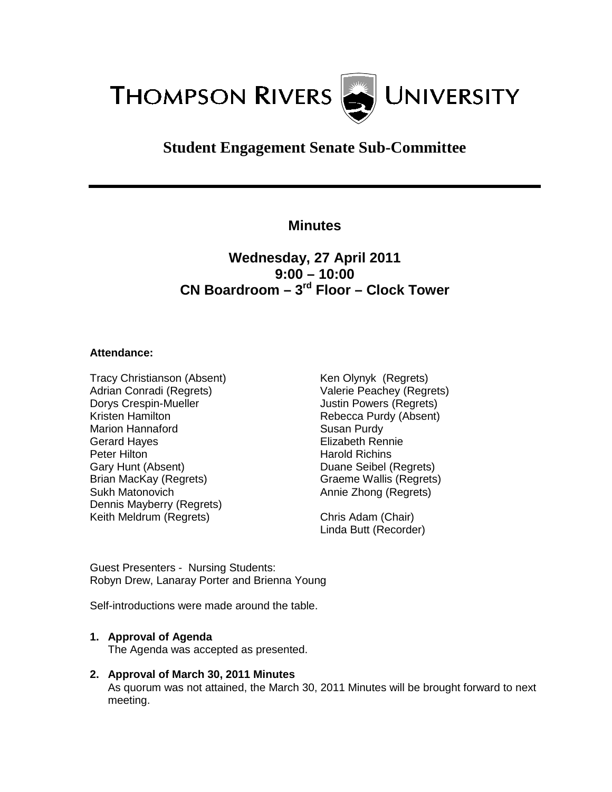

# **Student Engagement Senate Sub-Committee**

### **Minutes**

## **Wednesday, 27 April 2011 9:00 – 10:00 CN Boardroom – 3rd Floor – Clock Tower**

#### **Attendance:**

Tracy Christianson (Absent) Adrian Conradi (Regrets) Dorys Crespin-Mueller Kristen Hamilton Marion Hannaford Gerard Hayes Peter Hilton Gary Hunt (Absent) Brian MacKay (Regrets) Sukh Matonovich Dennis Mayberry (Regrets) Keith Meldrum (Regrets)

Ken Olynyk (Regrets) Valerie Peachey (Regrets) Justin Powers (Regrets) Rebecca Purdy (Absent) Susan Purdy Elizabeth Rennie Harold Richins Duane Seibel (Regrets) Graeme Wallis (Regrets) Annie Zhong (Regrets)

Chris Adam (Chair) Linda Butt (Recorder)

Guest Presenters - Nursing Students: Robyn Drew, Lanaray Porter and Brienna Young

Self-introductions were made around the table.

#### **1. Approval of Agenda**

The Agenda was accepted as presented.

**2. Approval of March 30, 2011 Minutes**

As quorum was not attained, the March 30, 2011 Minutes will be brought forward to next meeting.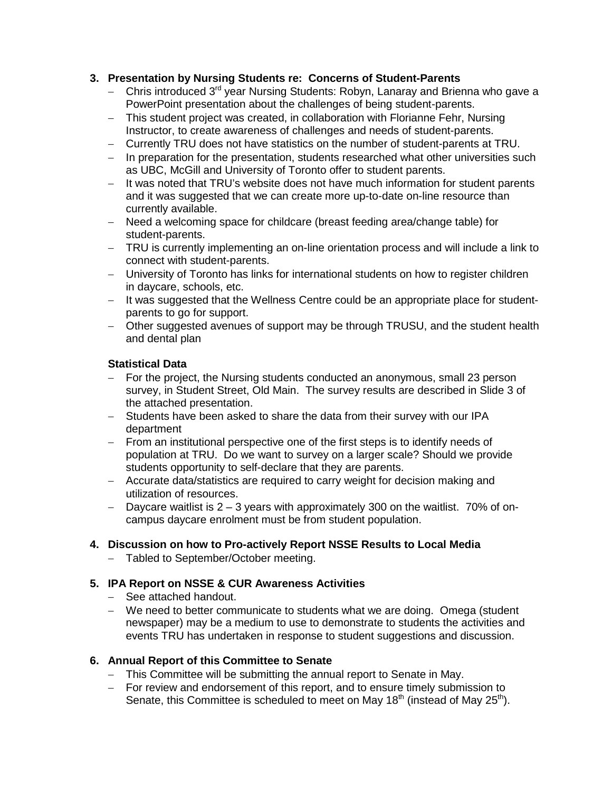#### **3. Presentation by Nursing Students re: Concerns of Student-Parents**

- − Chris introduced 3<sup>rd</sup> year Nursing Students: Robyn, Lanaray and Brienna who gave a PowerPoint presentation about the challenges of being student-parents.
- − This student project was created, in collaboration with Florianne Fehr, Nursing Instructor, to create awareness of challenges and needs of student-parents.
- − Currently TRU does not have statistics on the number of student-parents at TRU.
- − In preparation for the presentation, students researched what other universities such as UBC, McGill and University of Toronto offer to student parents.
- − It was noted that TRU's website does not have much information for student parents and it was suggested that we can create more up-to-date on-line resource than currently available.
- − Need a welcoming space for childcare (breast feeding area/change table) for student-parents.
- − TRU is currently implementing an on-line orientation process and will include a link to connect with student-parents.
- − University of Toronto has links for international students on how to register children in daycare, schools, etc.
- − It was suggested that the Wellness Centre could be an appropriate place for studentparents to go for support.
- − Other suggested avenues of support may be through TRUSU, and the student health and dental plan

#### **Statistical Data**

- − For the project, the Nursing students conducted an anonymous, small 23 person survey, in Student Street, Old Main. The survey results are described in Slide 3 of the attached presentation.
- − Students have been asked to share the data from their survey with our IPA department
- − From an institutional perspective one of the first steps is to identify needs of population at TRU. Do we want to survey on a larger scale? Should we provide students opportunity to self-declare that they are parents.
- − Accurate data/statistics are required to carry weight for decision making and utilization of resources.
- − Daycare waitlist is 2 3 years with approximately 300 on the waitlist. 70% of oncampus daycare enrolment must be from student population.

#### **4. Discussion on how to Pro-actively Report NSSE Results to Local Media**

− Tabled to September/October meeting.

#### **5. IPA Report on NSSE & CUR Awareness Activities**

- − See attached handout.
- − We need to better communicate to students what we are doing. Omega (student newspaper) may be a medium to use to demonstrate to students the activities and events TRU has undertaken in response to student suggestions and discussion.

#### **6. Annual Report of this Committee to Senate**

- − This Committee will be submitting the annual report to Senate in May.
- − For review and endorsement of this report, and to ensure timely submission to Senate, this Committee is scheduled to meet on May  $18<sup>th</sup>$  (instead of May  $25<sup>th</sup>$ ).